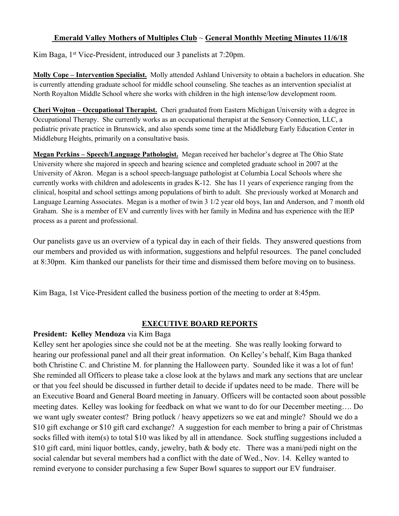#### **Emerald Valley Mothers of Multiples Club** ~ **General Monthly Meeting Minutes 11/6/18**

Kim Baga, 1<sup>st</sup> Vice-President, introduced our 3 panelists at 7:20pm.

**Molly Cope – Intervention Specialist.** Molly attended Ashland University to obtain a bachelors in education. She is currently attending graduate school for middle school counseling. She teaches as an intervention specialist at North Royalton Middle School where she works with children in the high intense/low development room.

**Cheri Wojton – Occupational Therapist.** Cheri graduated from Eastern Michigan University with a degree in Occupational Therapy. She currently works as an occupational therapist at the Sensory Connection, LLC, a pediatric private practice in Brunswick, and also spends some time at the Middleburg Early Education Center in Middleburg Heights, primarily on a consultative basis.

**Megan Perkins – Speech/Language Pathologist.** Megan received her bachelor's degree at The Ohio State University where she majored in speech and hearing science and completed graduate school in 2007 at the University of Akron. Megan is a school speech-language pathologist at Columbia Local Schools where she currently works with children and adolescents in grades K-12. She has 11 years of experience ranging from the clinical, hospital and school settings among populations of birth to adult. She previously worked at Monarch and Language Learning Associates. Megan is a mother of twin 3 1/2 year old boys, Ian and Anderson, and 7 month old Graham. She is a member of EV and currently lives with her family in Medina and has experience with the IEP process as a parent and professional.

Our panelists gave us an overview of a typical day in each of their fields. They answered questions from our members and provided us with information, suggestions and helpful resources. The panel concluded at 8:30pm. Kim thanked our panelists for their time and dismissed them before moving on to business.

Kim Baga, 1st Vice-President called the business portion of the meeting to order at 8:45pm.

#### **EXECUTIVE BOARD REPORTS**

# **President: Kelley Mendoza** via Kim Baga

Kelley sent her apologies since she could not be at the meeting. She was really looking forward to hearing our professional panel and all their great information. On Kelley's behalf, Kim Baga thanked both Christine C. and Christine M. for planning the Halloween party. Sounded like it was a lot of fun! She reminded all Officers to please take a close look at the bylaws and mark any sections that are unclear or that you feel should be discussed in further detail to decide if updates need to be made. There will be an Executive Board and General Board meeting in January. Officers will be contacted soon about possible meeting dates. Kelley was looking for feedback on what we want to do for our December meeting…. Do we want ugly sweater contest? Bring potluck / heavy appetizers so we eat and mingle? Should we do a \$10 gift exchange or \$10 gift card exchange? A suggestion for each member to bring a pair of Christmas socks filled with item(s) to total \$10 was liked by all in attendance. Sock stuffing suggestions included a \$10 gift card, mini liquor bottles, candy, jewelry, bath & body etc. There was a mani/pedi night on the social calendar but several members had a conflict with the date of Wed., Nov. 14. Kelley wanted to remind everyone to consider purchasing a few Super Bowl squares to support our EV fundraiser.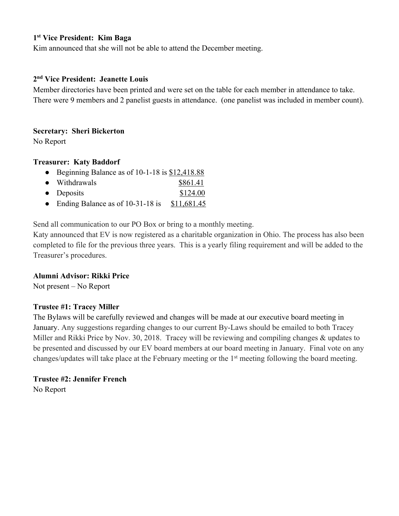# **1st Vice President: Kim Baga**

Kim announced that she will not be able to attend the December meeting.

#### **2nd Vice President: Jeanette Louis**

Member directories have been printed and were set on the table for each member in attendance to take. There were 9 members and 2 panelist guests in attendance. (one panelist was included in member count).

#### **Secretary: Sheri Bickerton**

No Report

#### **Treasurer: Katy Baddorf**

- Beginning Balance as of 10-1-18 is \$12,418.88
- Withdrawals \$861.41
- Deposits \$124.00
- Ending Balance as of  $10-31-18$  is  $$11,681.45$

Send all communication to our PO Box or bring to a monthly meeting.

Katy announced that EV is now registered as a charitable organization in Ohio. The process has also been completed to file for the previous three years. This is a yearly filing requirement and will be added to the Treasurer's procedures.

#### **Alumni Advisor: Rikki Price**

Not present – No Report

# **Trustee #1: Tracey Miller**

The Bylaws will be carefully reviewed and changes will be made at our executive board meeting in January. Any suggestions regarding changes to our current By-Laws should be emailed to both Tracey Miller and Rikki Price by Nov. 30, 2018. Tracey will be reviewing and compiling changes & updates to be presented and discussed by our EV board members at our board meeting in January. Final vote on any changes/updates will take place at the February meeting or the 1<sup>st</sup> meeting following the board meeting.

# **Trustee #2: Jennifer French**

No Report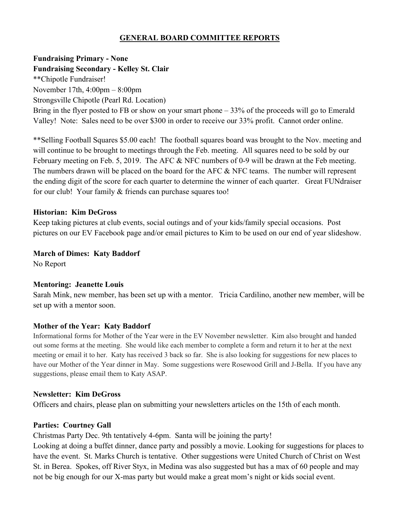# **GENERAL BOARD COMMITTEE REPORTS**

# **Fundraising Primary - None**

**Fundraising Secondary - Kelley St. Clair** \*\*Chipotle Fundraiser! November 17th, 4:00pm – 8:00pm Strongsville Chipotle (Pearl Rd. Location) Bring in the flyer posted to FB or show on your smart phone – 33% of the proceeds will go to Emerald Valley! Note: Sales need to be over \$300 in order to receive our 33% profit. Cannot order online.

\*\*Selling Football Squares \$5.00 each! The football squares board was brought to the Nov. meeting and will continue to be brought to meetings through the Feb. meeting. All squares need to be sold by our February meeting on Feb. 5, 2019. The AFC & NFC numbers of 0-9 will be drawn at the Feb meeting. The numbers drawn will be placed on the board for the AFC & NFC teams. The number will represent the ending digit of the score for each quarter to determine the winner of each quarter. Great FUNdraiser for our club! Your family & friends can purchase squares too!

#### **Historian: Kim DeGross**

Keep taking pictures at club events, social outings and of your kids/family special occasions. Post pictures on our EV Facebook page and/or email pictures to Kim to be used on our end of year slideshow.

#### **March of Dimes: Katy Baddorf**

No Report

# **Mentoring: Jeanette Louis**

Sarah Mink, new member, has been set up with a mentor. Tricia Cardilino, another new member, will be set up with a mentor soon.

# **Mother of the Year: Katy Baddorf**

Informational forms for Mother of the Year were in the EV November newsletter. Kim also brought and handed out some forms at the meeting. She would like each member to complete a form and return it to her at the next meeting or email it to her. Katy has received 3 back so far. She is also looking for suggestions for new places to have our Mother of the Year dinner in May. Some suggestions were Rosewood Grill and J-Bella. If you have any suggestions, please email them to Katy ASAP.

# **Newsletter: Kim DeGross**

Officers and chairs, please plan on submitting your newsletters articles on the 15th of each month.

# **Parties: Courtney Gall**

Christmas Party Dec. 9th tentatively 4-6pm. Santa will be joining the party!

Looking at doing a buffet dinner, dance party and possibly a movie. Looking for suggestions for places to have the event. St. Marks Church is tentative. Other suggestions were United Church of Christ on West St. in Berea. Spokes, off River Styx, in Medina was also suggested but has a max of 60 people and may not be big enough for our X-mas party but would make a great mom's night or kids social event.